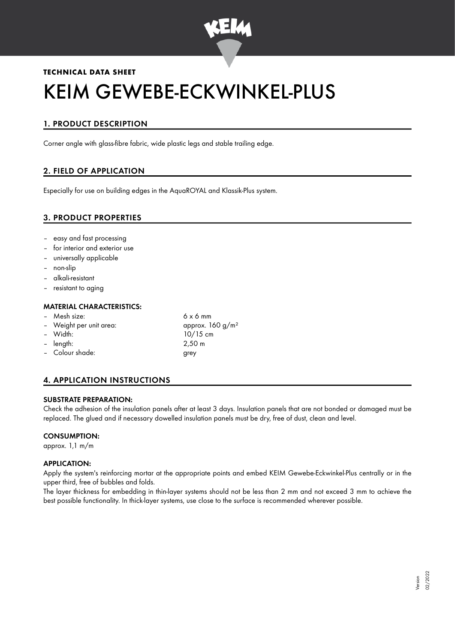

# **TECHNICAL DATA SHEET** KEIM GEWEBE-ECKWINKEL-PLUS

# 1. PRODUCT DESCRIPTION

Corner angle with glass-fibre fabric, wide plastic legs and stable trailing edge.

# 2. FIELD OF APPLICATION

Especially for use on building edges in the AquaROYAL and Klassik-Plus system.

## 3. PRODUCT PROPERTIES

- easy and fast processing
- for interior and exterior use
- universally applicable
- non-slip
- alkali-resistant
- resistant to aging

#### MATERIAL CHARACTERISTICS:

- Mesh size: 6 x 6 mm
- Weight per unit area:  $\mu$  approx. 160 g/m<sup>2</sup>
- 
- length: 2,50 m
- Colour shade: grey
- Width: 10/15 cm

# 4. APPLICATION INSTRUCTIONS

#### SUBSTRATE PREPARATION:

Check the adhesion of the insulation panels after at least 3 days. Insulation panels that are not bonded or damaged must be replaced. The glued and if necessary dowelled insulation panels must be dry, free of dust, clean and level.

#### CONSUMPTION:

approx. 1,1 m/m

#### APPLICATION:

Apply the system's reinforcing mortar at the appropriate points and embed KEIM Gewebe-Eckwinkel-Plus centrally or in the upper third, free of bubbles and folds.

The layer thickness for embedding in thin-layer systems should not be less than 2 mm and not exceed 3 mm to achieve the best possible functionality. In thick-layer systems, use close to the surface is recommended wherever possible.